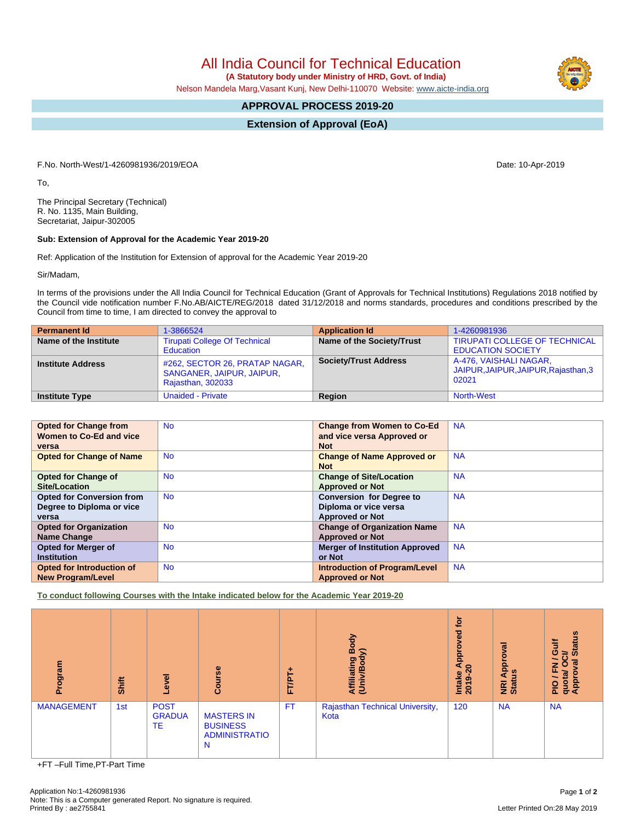All India Council for Technical Education

 **(A Statutory body under Ministry of HRD, Govt. of India)**

Nelson Mandela Marg,Vasant Kunj, New Delhi-110070 Website: [www.aicte-india.org](http://www.aicte-india.org)

## **APPROVAL PROCESS 2019-20**

**Extension of Approval (EoA)**

F.No. North-West/1-4260981936/2019/EOA Date: 10-Apr-2019

To,

The Principal Secretary (Technical) R. No. 1135, Main Building, Secretariat, Jaipur-302005

## **Sub: Extension of Approval for the Academic Year 2019-20**

Ref: Application of the Institution for Extension of approval for the Academic Year 2019-20

Sir/Madam,

In terms of the provisions under the All India Council for Technical Education (Grant of Approvals for Technical Institutions) Regulations 2018 notified by the Council vide notification number F.No.AB/AICTE/REG/2018 dated 31/12/2018 and norms standards, procedures and conditions prescribed by the Council from time to time, I am directed to convey the approval to

| <b>Permanent Id</b>      | 1-3866524                                                                        | <b>Application Id</b>        | 1-4260981936                                                            |
|--------------------------|----------------------------------------------------------------------------------|------------------------------|-------------------------------------------------------------------------|
| Name of the Institute    | <b>Tirupati College Of Technical</b><br>Education                                | Name of the Society/Trust    | <b>TIRUPATI COLLEGE OF TECHNICAL</b><br><b>EDUCATION SOCIETY</b>        |
| <b>Institute Address</b> | #262, SECTOR 26, PRATAP NAGAR,<br>SANGANER, JAIPUR, JAIPUR,<br>Rajasthan, 302033 | <b>Society/Trust Address</b> | A-476, VAISHALI NAGAR,<br>JAIPUR, JAIPUR, JAIPUR, Rajasthan, 3<br>02021 |
| <b>Institute Type</b>    | Unaided - Private                                                                | Region                       | North-West                                                              |

| <b>Opted for Change from</b>     | N <sub>o</sub> | <b>Change from Women to Co-Ed</b>     | <b>NA</b> |
|----------------------------------|----------------|---------------------------------------|-----------|
| Women to Co-Ed and vice          |                | and vice versa Approved or            |           |
| versa                            |                | <b>Not</b>                            |           |
| <b>Opted for Change of Name</b>  | <b>No</b>      | <b>Change of Name Approved or</b>     | <b>NA</b> |
|                                  |                | <b>Not</b>                            |           |
| <b>Opted for Change of</b>       | <b>No</b>      | <b>Change of Site/Location</b>        | <b>NA</b> |
| <b>Site/Location</b>             |                | <b>Approved or Not</b>                |           |
| <b>Opted for Conversion from</b> | <b>No</b>      | <b>Conversion for Degree to</b>       | <b>NA</b> |
| Degree to Diploma or vice        |                | Diploma or vice versa                 |           |
| versa                            |                | <b>Approved or Not</b>                |           |
| <b>Opted for Organization</b>    | <b>No</b>      | <b>Change of Organization Name</b>    | <b>NA</b> |
| <b>Name Change</b>               |                | <b>Approved or Not</b>                |           |
| Opted for Merger of              | <b>No</b>      | <b>Merger of Institution Approved</b> | <b>NA</b> |
| <b>Institution</b>               |                | or Not                                |           |
| <b>Opted for Introduction of</b> | <b>No</b>      | <b>Introduction of Program/Level</b>  | <b>NA</b> |
| <b>New Program/Level</b>         |                | <b>Approved or Not</b>                |           |

**To conduct following Courses with the Intake indicated below for the Academic Year 2019-20**

| ogram<br>ō.       | Shift | g<br>ீ                             | rse<br>Б<br>ပ္ပြ                                                  | ٠<br>۳Æ<br>ш. | Body<br>Affiliating Book<br>(Univ/Body) | tor<br>pevordq<br>a.<br>$\circ$<br>$\overline{\mathbf{c}}$<br><b>Intake</b><br>2019-2 | ह<br>Ö<br>Appro<br><b>NRI Ap</b><br>Status | <b>Status</b><br>Gulf<br>≃<br>∽<br>ಹ<br>z<br>O<br>ш<br>quota/<br>Appro<br>۰.<br>$\frac{1}{2}$ |
|-------------------|-------|------------------------------------|-------------------------------------------------------------------|---------------|-----------------------------------------|---------------------------------------------------------------------------------------|--------------------------------------------|-----------------------------------------------------------------------------------------------|
| <b>MANAGEMENT</b> | 1st   | <b>POST</b><br><b>GRADUA</b><br>TE | <b>MASTERS IN</b><br><b>BUSINESS</b><br><b>ADMINISTRATIO</b><br>N | <b>FT</b>     | Rajasthan Technical University,<br>Kota | 120                                                                                   | <b>NA</b>                                  | <b>NA</b>                                                                                     |

+FT –Full Time,PT-Part Time